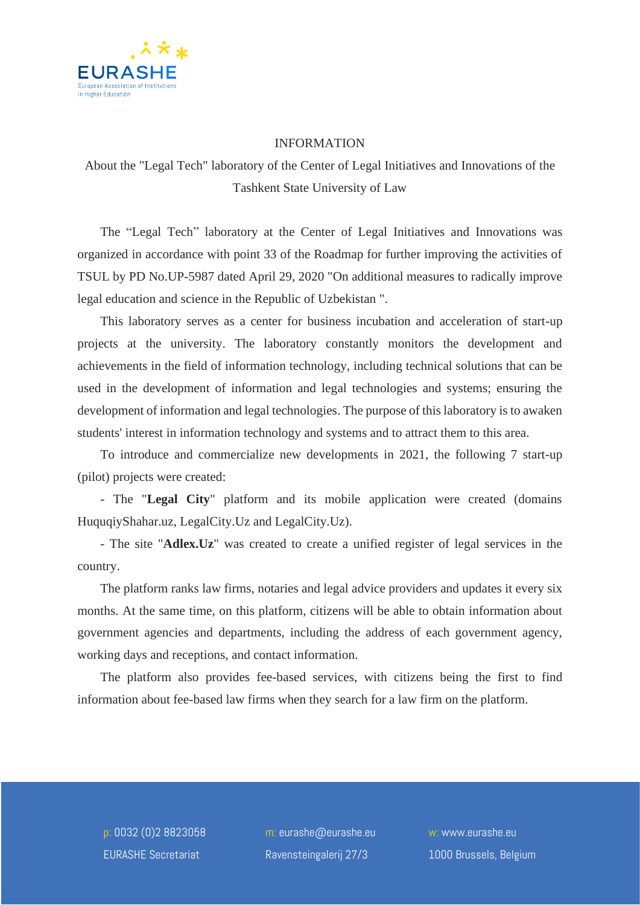

## INFORMATION

## About the "Legal Tech" laboratory of the Center of Legal Initiatives and Innovations of the Tashkent State University of Law

The "Legal Tech" laboratory at the Center of Legal Initiatives and Innovations was organized in accordance with point 33 of the Roadmap for further improving the activities of TSUL by PD No.UP-5987 dated April 29, 2020 "On additional measures to radically improve legal education and science in the Republic of Uzbekistan ".

This laboratory serves as a center for business incubation and acceleration of start-up projects at the university. The laboratory constantly monitors the development and achievements in the field of information technology, including technical solutions that can be used in the development of information and legal technologies and systems; ensuring the development of information and legal technologies. The purpose of this laboratory is to awaken students' interest in information technology and systems and to attract them to this area.

To introduce and commercialize new developments in 2021, the following 7 start-up (pilot) projects were created:

- The "**Legal City**" platform and its mobile application were created (domains HuquqiyShahar.uz, LegalCity.Uz and LegalCity.Uz).

- The site "**Adlex.Uz**" was created to create a unified register of legal services in the country.

The platform ranks law firms, notaries and legal advice providers and updates it every six months. At the same time, on this platform, citizens will be able to obtain information about government agencies and departments, including the address of each government agency, working days and receptions, and contact information.

The platform also provides fee-based services, with citizens being the first to find information about fee-based law firms when they search for a law firm on the platform.

p: 0032 (0)2 8823058 EURASHE Secretariat

m: eurashe@eurashe.eu Ravensteingalerij 27/3

w: www.eurashe.eu 1000 Brussels, Belgium